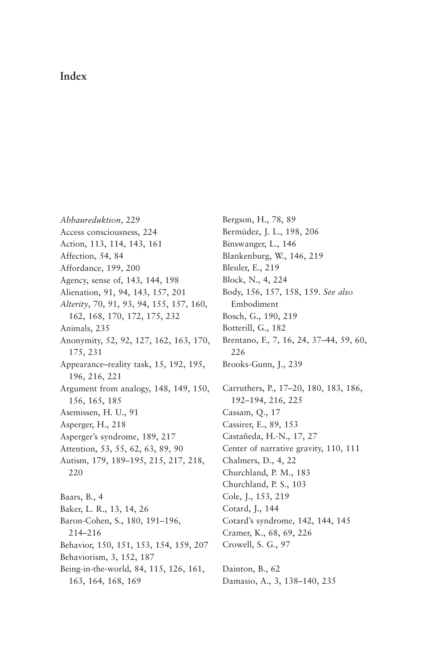## **Index**

*Abbaureduktion*, 229 Access consciousness, 224 Action, 113, 114, 143, 161 Affection, 54, 84 Affordance, 199, 200 Agency, sense of, 143, 144, 198 Alienation, 91, 94, 143, 157, 201 *Alterity*, 70, 91, 93, 94, 155, 157, 160, 162, 168, 170, 172, 175, 232 Animals, 235 [Anonymity, 52, 92, 127, 162, 163, 170,](#page--1-0) 175, 231 Appearance–reality task, 15, 192, 195, 196, 216, 221 Argument from analogy, 148, 149, 150, 156, 165, 185 Asemissen, H. U., 91 Asperger, H., 218 Asperger's syndrome, 189, 217 Attention, 53, 55, 62, 63, 89, 90 Autism, 179, 189–195, 215, 217, 218, 220 Baars, B., 4 Baker, L. R., 13, 14, 26 Baron-Cohen, S., 180, 191–196, 214–216 Behavior, 150, 151, 153, 154, 159, 207 Behaviorism, 3, 152, 187 Being-in-the-world, 84, 115, 126, 161, 163, 164, 168, 169

Bergson, H., 78, 89 Bermüdez, J. L., 198, 206 Binswanger, L., 146 Blankenburg, W., 146, 219 Bleuler, E., 219 Block, N., 4, 224 Body, 156, 157, 158, 159. *See also* Embodiment Bosch, G., 190, 219 Botterill, G., 182 Brentano, F., 7, 16, 24, 37–44, 59, 60, 226 Brooks-Gunn, J., 239 Carruthers, P., 17–20, 180, 183, 186, 192–194, 216, 225 Cassam, Q., 17 Cassirer, E., 89, 153 Castañeda, H.-N., 17, 27 Center of narrative gravity, 110, 111 Chalmers, D., 4, 22 Churchland, P. M., 183 Churchland, P. S., 103 Cole, J., 153, 219 Cotard, J., 144 Cotard's syndrome, 142, 144, 145 Cramer, K., 68, 69, 226 Crowell, S. G., 97

Dainton, B., 62 Damasio, A., 3, 138–140, 235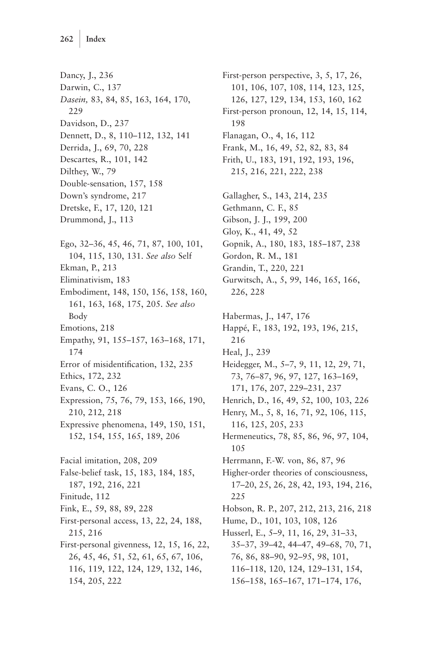Dancy, J., 236 Darwin, C., 137 *Dasein,* 83, 84, 85, 163, 164, 170, 229 Davidson, D., 237 Dennett, D., 8, 110–112, 132, 141 Derrida, J., 69, 70, 228 Descartes, R., 101, 142 Dilthey, W., 79 Double-sensation, 157, 158 Down's syndrome, 217 Dretske, F., 17, 120, 121 Drummond, J., 113 Ego, 32–36, 45, 46, 71, 87, 100, 101, 104, 115, 130, 131. *See also* Self Ekman, P., 213 Eliminativism, 183 Embodiment, 148, 150, 156, 158, 160, 161, 163, 168, 175, 205. *See also* Body Emotions, 218 Empathy, 91, 155–157, 163–168, 171, 174 Error of misidentification, 132, 235 Ethics, 172, 232 Evans, C. O., 126 Expression, 75, 76, 79, 153, 166, 190, 210, 212, 218 Expressive phenomena, 149, 150, 151, 152, 154, 155, 165, 189, 206 Facial imitation, 208, 209 False-belief task, 15, 183, 184, 185, 187, 192, 216, 221 Finitude, 112 Fink, E., 59, 88, 89, 228 First-personal access, 13, 22, 24, 188, 215, 216 First-personal givenness, 12, 15, 16, 22, 26, 45, 46, 51, 52, 61, 65, 67, 106, 116, 119, 122, 124, 129, 132, 146, 154, 205, 222

First-person perspective, 3, 5, 17, 26, 101, 106, 107, 108, 114, 123, 125, 126, 127, 129, 134, 153, 160, 162 First-person pronoun, 12, 14, 15, 114, 198 Flanagan, O., 4, 16, 112 Frank, M., 16, 49, 52, 82, 83, 84 Frith, U., 183, 191, 192, 193, 196, 215, 216, 221, 222, 238 Gallagher, S., 143, 214, 235 Gethmann, C. F., 85 Gibson, J. J., 199, 200 Gloy, K., 41, 49, 52 Gopnik, A., 180, 183, 185–187, 238 Gordon, R. M., 181 Grandin, T., 220, 221 Gurwitsch, A., 5, 99, 146, 165, 166, 226, 228 Habermas, J., 147, 176 Happé, F., 183, 192, 193, 196, 215, 216 Heal, J., 239 Heidegger, M., 5–7, 9, 11, 12, 29, 71, 73, 76–87, 96, 97, 127, 163–169, 171, 176, 207, 229–231, 237 Henrich, D., 16, 49, 52, 100, 103, 226 Henry, M., 5, 8, 16, 71, 92, 106, 115, 116, 125, 205, 233 Hermeneutics, 78, 85, 86, 96, 97, 104, 105 Herrmann, F.-W. von, 86, 87, 96 Higher-order theories of consciousness, 17–20, 25, 26, 28, 42, 193, 194, 216, 225 Hobson, R. P., 207, 212, 213, 216, 218 Hume, D., 101, 103, 108, 126 Husserl, E., 5–9, 11, 16, 29, 31–33, 35–37, 39–42, 44–47, 49–68, 70, 71, 76, 86, 88–90, 92–95, 98, 101, 116–118, 120, 124, 129–131, 154, 156–158, 165–167, 171–174, 176,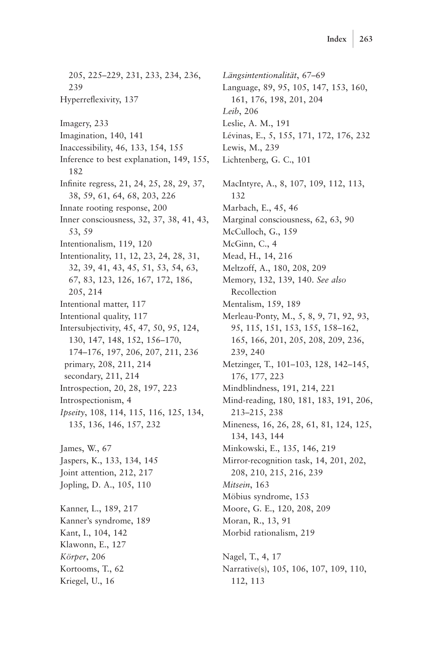205, 225–229, 231, 233, 234, 236, 239 Hyperreflexivity, 137 Imagery, 233 Imagination, 140, 141 Inaccessibility, 46, 133, 154, 155 Inference to best explanation, 149, 155, 182 Infinite regress, 21, 24, 25, 28, 29, 37, 38, 59, 61, 64, 68, 203, 226 Innate rooting response, 200 Inner consciousness, 32, 37, 38, 41, 43, 53, 59 Intentionalism, 119, 120 Intentionality, 11, 12, 23, 24, 28, 31, 32, 39, 41, 43, 45, 51, 53, 54, 63, 67, 83, 123, 126, 167, 172, 186, 205, 214 Intentional matter, 117 Intentional quality, 117 Intersubjectivity, 45, 47, 50, 95, 124, 130, 147, 148, 152, 156–170, 174–176, 197, 206, 207, 211, 236 primary, 208, 211, 214 secondary, 211, 214 Introspection, 20, 28, 197, 223 Introspectionism, 4 *Ipseity*, 108, 114, 115, 116, 125, 134, 135, 136, 146, 157, 232 James, W., 67 Jaspers, K., 133, 134, 145 Joint attention, 212, 217 Jopling, D. A., 105, 110 Kanner, L., 189, 217 Kanner's syndrome, 189 Kant, I., 104, 142 Klawonn, E., 127 *Körper*, 206 Kortooms, T., 62

Kriegel, U., 16

*Längsintentionalität*, 67–69 Language, 89, 95, 105, 147, 153, 160, 161, 176, 198, 201, 204 *Leib*, 206 Leslie, A. M., 191 Lévinas, E., 5, 155, 171, 172, 176, 232 Lewis, M., 239 Lichtenberg, G. C., 101 MacIntyre, A., 8, 107, 109, 112, 113, 132 Marbach, E., 45, 46 Marginal consciousness, 62, 63, 90 McCulloch, G., 159 McGinn, C., 4 Mead, H., 14, 216 Meltzoff, A., 180, 208, 209 Memory, 132, 139, 140. *See also* Recollection Mentalism, 159, 189 Merleau-Ponty, M., 5, 8, 9, 71, 92, 93, 95, 115, 151, 153, 155, 158–162, 165, 166, 201, 205, 208, 209, 236, 239, 240 Metzinger, T., 101–103, 128, 142–145, 176, 177, 223 Mindblindness, 191, 214, 221 Mind-reading, 180, 181, 183, 191, 206, 213–215, 238 Mineness, 16, 26, 28, 61, 81, 124, 125, 134, 143, 144 Minkowski, E., 135, 146, 219 Mirror-recognition task, 14, 201, 202, 208, 210, 215, 216, 239 *Mitsein*, 163 Möbius syndrome, 153 Moore, G. E., 120, 208, 209 Moran, R., 13, 91 Morbid rationalism, 219 Nagel, T., 4, 17 Narrative(s), 105, 106, 107, 109, 110, 112, 113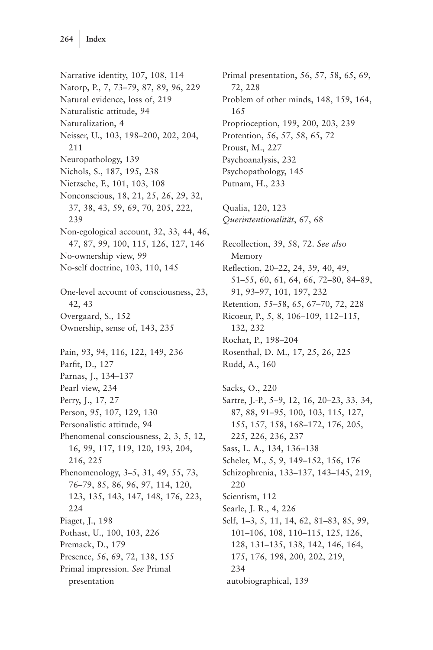Narrative identity, 107, 108, 114 Natorp, P., 7, 73–79, 87, 89, 96, 229 Natural evidence, loss of, 219 Naturalistic attitude, 94 Naturalization, 4 Neisser, U., 103, 198–200, 202, 204, 211 Neuropathology, 139 Nichols, S., 187, 195, 238 Nietzsche, F., 101, 103, 108 Nonconscious, 18, 21, 25, 26, 29, 32, 37, 38, 43, 59, 69, 70, 205, 222, 239 Non-egological account, 32, 33, 44, 46, 47, 87, 99, 100, 115, 126, 127, 146 No-ownership view, 99 No-self doctrine, 103, 110, 145 One-level account of consciousness, 23, 42, 43 Overgaard, S., 152 Ownership, sense of, 143, 235 Pain, 93, 94, 116, 122, 149, 236 Parfit, D., 127 Parnas, J., 134–137 Pearl view, 234 Perry, J., 17, 27 Person, 95, 107, 129, 130 Personalistic attitude, 94 Phenomenal consciousness, 2, 3, 5, 12, 16, 99, 117, 119, 120, 193, 204, 216, 225 Phenomenology, 3–5, 31, 49, 55, 73, 76–79, 85, 86, 96, 97, 114, 120, 123, 135, 143, 147, 148, 176, 223, 224 Piaget, J., 198 Pothast, U., 100, 103, 226 Premack, D., 179 Presence, 56, 69, 72, 138, 155 Primal impression. *See* Primal presentation

Primal presentation, 56, 57, 58, 65, 69, 72, 228 Problem of other minds, 148, 159, 164, 165 Proprioception, 199, 200, 203, 239 Protention, 56, 57, 58, 65, 72 Proust, M., 227 Psychoanalysis, 232 Psychopathology, 145 Putnam, H., 233 Qualia, 120, 123 *Querintentionalität*, 67, 68 Recollection, 39, 58, 72. *See also* Memory Reflection, 20–22, 24, 39, 40, 49, 51–55, 60, 61, 64, 66, 72–80, 84–89, 91, 93–97, 101, 197, 232 Retention, 55–58, 65, 67–70, 72, 228 Ricoeur, P., 5, 8, 106–109, 112–115, 132, 232 Rochat, P., 198–204 Rosenthal, D. M., 17, 25, 26, 225 Rudd, A., 160 Sacks, O., 220 Sartre, J.-P., 5–9, 12, 16, 20–23, 33, 34, 87, 88, 91–95, 100, 103, 115, 127, 155, 157, 158, 168–172, 176, 205, 225, 226, 236, 237 Sass, L. A., 134, 136–138 Scheler, M., 5, 9, 149–152, 156, 176 Schizophrenia, 133–137, 143–145, 219, 220 Scientism, 112 Searle, J. R., 4, 226 Self, 1–3, 5, 11, 14, 62, 81–83, 85, 99, 101–106, 108, 110–115, 125, 126, 128, 131–135, 138, 142, 146, 164, 175, 176, 198, 200, 202, 219, 234 autobiographical, 139